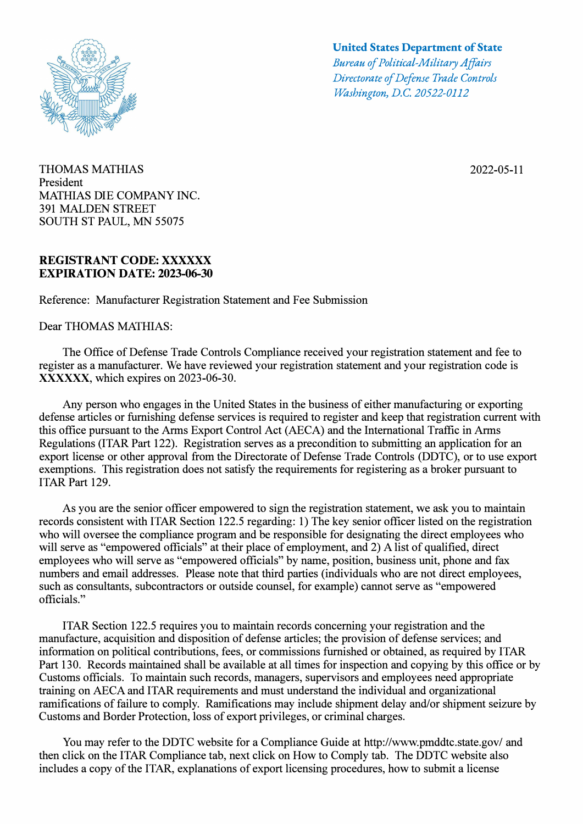

THOMAS MATHIAS 2022-05-11 President MATHIAS DIE COMPANY INC. 391 MALDEN STREET SOUTH ST PAUL, MN 55075

## **REGISTRANT CODE: XXXXXX EXPIRATION DATE: 2023-06-30**

Reference: Manufacturer Registration Statement and Fee Submission

Dear THOMAS MATHIAS:

## **United States Department of State**

*Bureau of Political-Military Affairs Directorate of Defense Trade Controls Washington, D.C 20522-0112* 

The Office of Defense Trade Controls Compliance received your registration statement and fee to register as a manufacturer. We have reviewed your registration statement and your registration code is **XXXXXX**, which expires on 2023-06-30.

Any person who engages in the United States in the business of either manufacturing or exporting defense articles or furnishing defense services is required to register and keep that registration current with this office pursuant to the Arms Export Control Act (AECA) and the International Traffic in Arms Regulations (ITAR Part 122). Registration serves as a precondition to submitting an application for an export license or other approval from the Directorate of Defense Trade Controls (DDTC), or to use export exemptions. This registration does not satisfy the requirements for registering as a broker pursuant to ITAR Part 129.

As you are the senior officer empowered to sign the registration statement, we ask you to maintain records consistent with ITAR Section 122.5 regarding: 1) The key senior officer listed on the registration who will oversee the compliance program and be responsible for designating the direct employees who will serve as "empowered officials" at their place of employment, and 2) A list of qualified, direct employees who will serve as "empowered officials" by name, position, business unit, phone and fax numbers and email addresses. Please note that third parties (individuals who are not direct employees, such as consultants, subcontractors or outside counsel, for example) cannot serve as "empowered officials."

ITAR Section 122.5 requires you to maintain records concerning your registration and the manufacture, acquisition and disposition of defense articles; the provision of defense services; and information on political contributions, fees, or commissions furnished or obtained, as required by ITAR Part 130. Records maintained shall be available at all times for inspection and copying by this office or by Customs officials. To maintain such records, managers, supervisors and employees need appropriate training on AECA and ITAR requirements and must understand the individual and organizational ramifications of failure to comply. Ramifications may include shipment delay and/or shipment seizure by Customs and Border Protection, loss of export privileges, or criminal charges.

You may refer to the DDTC website for a Compliance Guide at http://www.pmddtc.state.gov/ and then click on the ITAR Compliance tab, next click on How to Comply tab. The DDTC website also includes a copy of the ITAR, explanations of export licensing procedures, how to submit a license